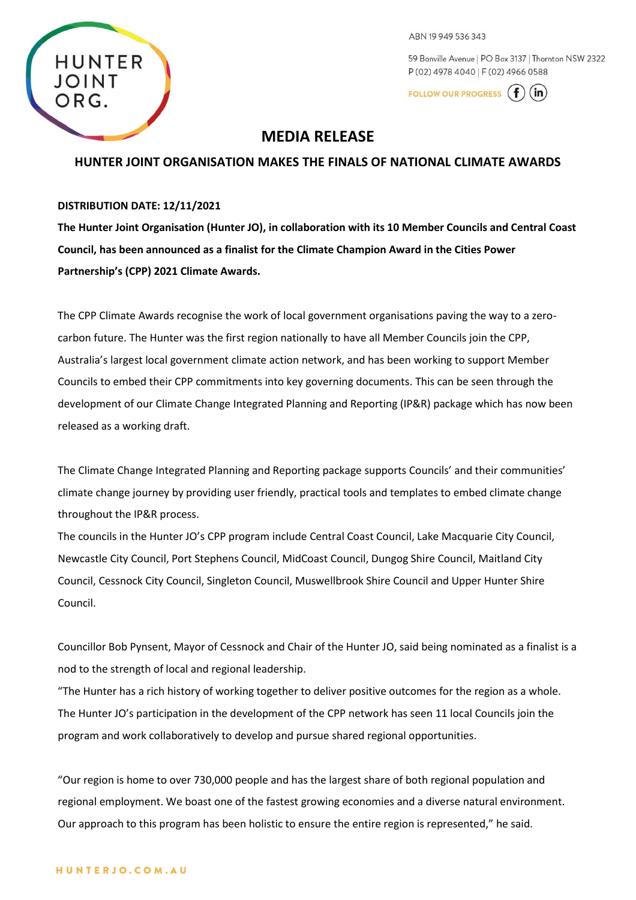

ABN 19949536343

59 Bonville Avenue | PO Box 3137 | Thornton NSW 2322 P (02) 4978 4040 | F (02) 4966 0588

FOLLOW OUR PROGRESS (  $(in)$ 

# **MEDIA RELEASE**

## **HUNTER JOINT ORGANISATION MAKES THE FINALS OF NATIONAL CLIMATE AWARDS**

### **DISTRIBUTION DATE: 12/11/2021**

**The Hunter Joint Organisation (Hunter JO), in collaboration with its 10 Member Councils and Central Coast Council, has been announced as a finalist for the Climate Champion Award in the Cities Power Partnership's (CPP) 2021 Climate Awards.**

The CPP Climate Awards recognise the work of local government organisations paving the way to a zerocarbon future. The Hunter was the first region nationally to have all Member Councils join the CPP, Australia's largest local government climate action network, and has been working to support Member Councils to embed their CPP commitments into key governing documents. This can be seen through the development of our Climate Change Integrated Planning and Reporting (IP&R) package which has now been released as a working draft.

The Climate Change Integrated Planning and Reporting package supports Councils' and their communities' climate change journey by providing user friendly, practical tools and templates to embed climate change throughout the IP&R process.

The councils in the Hunter JO's CPP program include Central Coast Council, Lake Macquarie City Council, Newcastle City Council, Port Stephens Council, MidCoast Council, Dungog Shire Council, Maitland City Council, Cessnock City Council, Singleton Council, Muswellbrook Shire Council and Upper Hunter Shire Council.

Councillor Bob Pynsent, Mayor of Cessnock and Chair of the Hunter JO, said being nominated as a finalist is a nod to the strength of local and regional leadership.

"The Hunter has a rich history of working together to deliver positive outcomes for the region as a whole. The Hunter JO's participation in the development of the CPP network has seen 11 local Councils join the program and work collaboratively to develop and pursue shared regional opportunities.

"Our region is home to over 730,000 people and has the largest share of both regional population and regional employment. We boast one of the fastest growing economies and a diverse natural environment. Our approach to this program has been holistic to ensure the entire region is represented," he said.